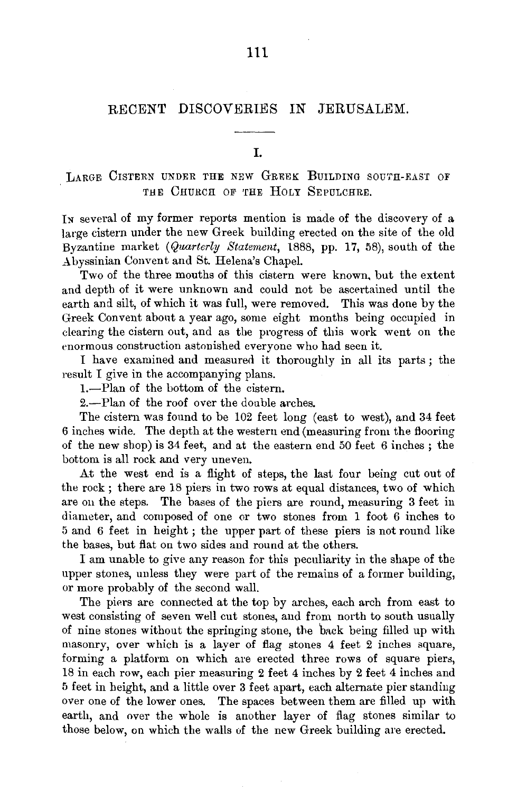# RECENT DISCOVERIES IN JERUSALEM.

I.

LARGE CISTERN UNDER THE NEW GREEK BUILDING SOUTH-EAST OF THE CHURCH OF THE HOLY SEPULCHRE.

In several of my former reports mention is made of the discovery of a large cistern under the new Greek building erected on the site of the old Byzantine market *(Quarterly Statement,* 1888, pp. 17, 58), south of the Abyssinian Convent and St. Helena's Chapel.

Two of the three mouths of this cistern were known, but the extent and depth of it were unknown and could not be ascertained until the earth and silt, of which it was full, were removed. This was done by the Greek Convent about a year ago, some eight months being occupied in clearing the cistern out, and as the progress of this work went on the enormous construction astonished everyone who had seen it.

I have examined and measured it thoroughly in all its parts ; the result I give in the accompanying plans.

1.-Plan of the bottom of the cistern.

2.-Plan of the roof over the double arches.

The cistern was found to be 102 feet long (east to west), and 34 feet 6 inches wide. The depth at the western end (measuring from the flooring of the new shop) is 34 feet, and at the eastern end 50 feet 6 inches ; the bottom is all rock and very uneven.

At the west end is a flight of steps, the last four being cut out of the rock ; there are 18 piers in two rows at equal distances, two of which are on the steps. The bases of the piers are round, measuring 3 feet in diameter, and composed of one or two stones from 1 foot 6 inches to 5 and 6 feet in height ; the upper part of these piers is not round like the bases, but flat on two sides and round at the others.

I am unable to give any reason for this peculiarity in the shape of the upper stones, unless they were part of the remains of a former building, or more probably of the second wall.

The piers are connected at the top by arches, each arch from east to west consisting of seven well cut stones, and from north to south usually of nine stones without the springing stone, the back being filled up with masonry, over which is a layer of flag stones 4 feet 2 inches square, forming a platform on which are erected three rows of square piers, 18 in each row, each pier measuring 2 feet 4 inches by 2 feet 4 inches and 5 feet in height, and a little over 3 feet apart, each alternate pier standing over one of the lower ones. The spaces between them are filled up with earth, and over the whole is another layer of flag stones similar to those below, on which the walls of the new Greek building are erected.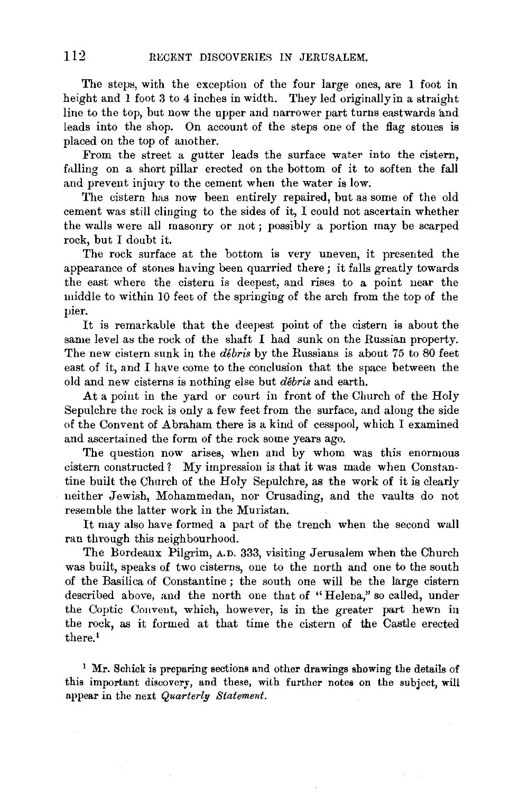The steps, with the exception of the four large ones, are 1 foot in height and l foot 3 to 4 inches in width. They led originally in a straight line to the top, but now the upper and narrower part turns eastwards and leads into the shop. On account of the steps one of the flag stones is placed on the top of another.

From the street a gutter leads the surface water into the cistern, falling on a short pillar erected on the bottom of it to soften the fall and prevent injury to the cement when the water is low.

The cistern has now been entirely repaired, but as some of the old cement was still clinging to the sides of it, I could not ascertain whether the walls were all masonry or not ; possibly a portion may be scarped rock, but I doubt it.

The rock surface at the bottom is very uneven, it presented the appearance of stones having been quarried there; it falls greatly towards the east where the cistern is deepest, and rises to a point near the middle to within 10 feet of the springing of the arch from the top of the pier.

It is remarkable that the deepest point of the cistern is about the same level as the rock of the shaft I had sunk on the Russian property. The new cistern sunk in the *debris* by the Russians is about 75 to 80 feet east of it, and I have come to the conclusion that the space between the old and new cisterns is nothing else but *debris* and earth.

At a point in the yard or court in front of the Church of the Holy Sepulchre the rock is only a few feet from the surface, and along the side of the Convent of Abraham there is a kind of cesspool, which I examined and ascertained the form of the rock some years ago.

The question now arises, when and by whom was this enormous cistern constructed? My impression is that it was made when Constantine built the Church of the Holy Sepulchre, as the work of it is clearly neither Jewish, Mohammedan, nor Crusading, and the vaults do not resemble the latter work in the Muristan.

It may also have formed a part of the trench when the second wall ran through this neighbourhood.

The Bordeaux Pilgrim, A.D. 333, visiting Jerusalem when the Church was built, speaks of two cisterns, one to the north and one to the south of the Basilica of Constantine ; the south one will be the large cistern described above, and the north one that of "Helena," so called, under the Coptic Convent, which, however, is in the greater part hewn in the rock, as it formed at that time the cistern of the Castle erected there. <sup>1</sup>

<sup>1</sup> Mr. Schick is preparing sections and other drawings showing the details of this important discovery, and these, with further notes on the subject, will appear in the next *Quarterly Statement.*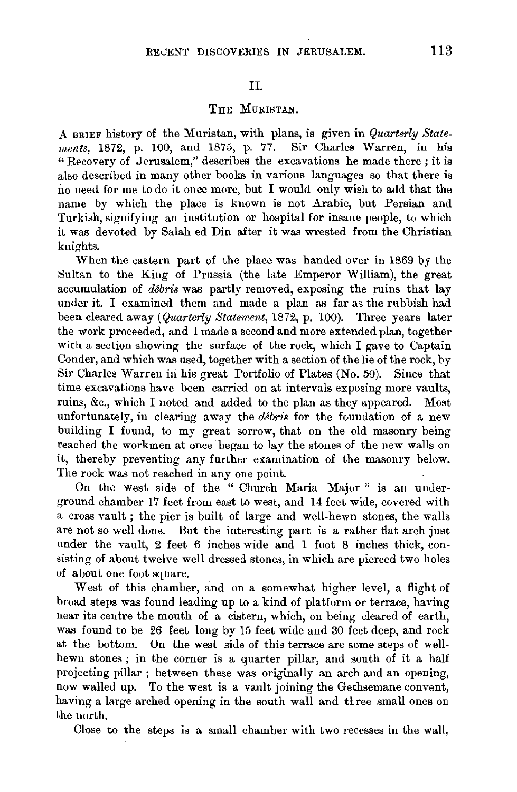## II.

## THE MURISTAN.

A BRIEF history of the Muristan, with plans, is given in *Quarterly Staternents,* 1872, p. 100, and 1875, p. 77. Sir Charles Warren, in his "Recovery of Jerusalem," describes the excavations he made there; it is also described in many other books in various languages so that there is no need for me to do it once more, but I would only wish to add that the name by which the place is known is not Arabic, but Persian and Turkish, signifying an institution or hospital for insane people, to which it was devoted by Salah ed Din after it was wrested from the Christian knights.

When the eastern part of the place was handed over in 1869 by the Sultan to the King of Prussia (the late Emperor William), the great accumulation of *debris* was partly removed, exposing the ruins that lay under it. I examined them and made a plan as far as the rubbish had been cleared away *(Quarterly Statement, 1872, p. 100)*. Three years later the work proceeded, and I made a second and more extended plan, together with a section showing the surface of the rock, which I gave to Captain Conder, and which was used, together with a section of the lie of the rock, by Sir Charles Warren in his great Portfolio of Plates (No. 50). Since that time excavations have been carried on at intervals exposing more vaults, ruins, &c., which I noted and added to the plan as they appeared. Most unfortunately, in clearing away the *debris* for the foundation of a new building I found, to my great sorrow, that on the old masonry being reached the workmen at once began to lay the stones of the new walls on it, thereby preventing any further examination of the masonry below. The rock was not reached in any one point.

On the west side of the " Church Maria Major " is an underground chamber 17 feet from east to west, and 14 feet wide, covered with a cross vault ; the pier is built of large and well-hewn stones, the walls are not so well done. But the interesting part is a rather flat arch just under the vault, 2 feet 6 inches wide and 1 foot 8 inches thick, consisting of about twelve well dressed stones, in which are pierced two holes of about one foot square.

West of this chamber, and on a somewhat higher level, a flight of broad steps was found leading up to a kind of platform or terrace, having near its centre the mouth of a cistern, which, on being cleared of earth, was found to be 26 feet long by 15 feet wide and 30 feet deep, and rock at the bottom. On the west side of this terrace are some steps of wellhewn stones ; in the corner is a quarter pillar, and south of it a half projecting pillar ; between these was originally an arch and an opening, now walled up. To the west is a vault joining the Gethsemane convent, having a large arched opening in the south wall and three small ones on the north.

Close to the steps is a small chamber with two recesses in the wall,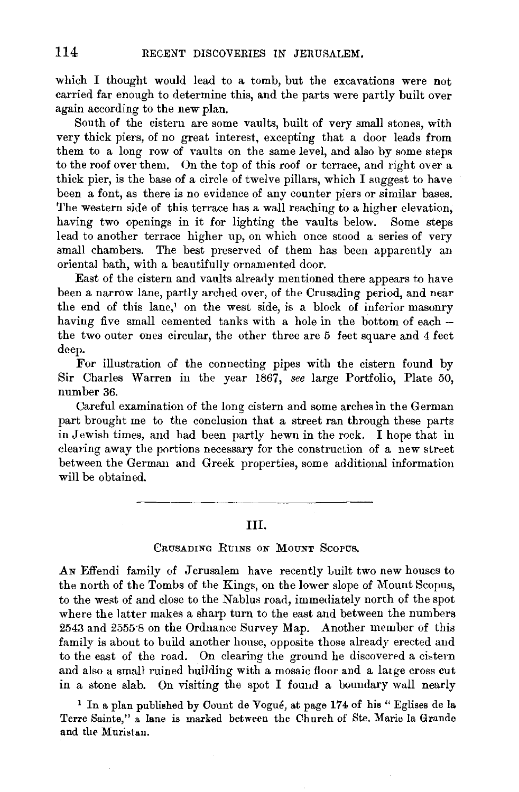which I thought would lead to a tomb, but the excavations were not carried far enough to determine this, and the parts were partly built over again according to the new plan.

South of the cistern are some vaults, built of very small stones, with very thick piers, of no great interest, excepting that a door leads from them to a long row of vaults on the same level, and also by some steps to the roof over them. On the top of this roof or terrace, and right over a thick pier, is the base of a circle of twelve pillars, which I suggest to have been a font, as there is no evidence of any counter piers or similar bases. The western side of this terrace has a wall reaching to a higher elevation, having two openings in it for lighting the vaults below. Some steps lead to another terrace higher up, on which once stood a series of very small chambers. The best preserved of them has been apparently an oriental bath, with a beautifully ornamented door.

East of the cistern and vaults already mentioned there appears to have been a narrow lane, partly arched over, of the Crusading period, and near the end of this lane,' on the west side, is a block of inferior masonry having five small cemented tanks with a hole in the bottom of each the two outer ones circular, the other three are 5 feet square and 4 feet deep.

For illustration of the connecting pipes with the cistern found by Sir Charles Warren in the year 1867, *see* large Portfolio, Plate 50, number 36.

Careful examination of the long cistern and some arches in the German part brought me to the conclusion that a street ran through these parts in Jewish times, and had been partly hewn in the rock. I hope that in clearing away the portions necessary for the construction of a new street between the German and Greek properties, some additional information will be obtained.

#### Ill.

## CRUSADING RUINS ON MOUNT SCOPUS.

An Effendi family of Jerusalem have recently built two new houses to the north of the Tombs of the Kings, on the lower slope of Mount Scopus, to the west of and close to the Nablus road, immediately north of the spot where the latter makes a sharp turn to the east and between the numbers 2543 and 2555·8 on the Ordnance Survey Map. Another member of this family is about to build another house, opposite those already erected and to the east of the road. On clearing the ground he discovered a cistern and also a small ruined building with a mosaic floor and a large cross cut in a stone slab. On visiting the spot I found a boundary wall nearly

<sup>1</sup> In a plan published by Count de Vogué, at page 174 of his " Eglises de la Terre Sainte," a lane is marked between the Church of Ste. Marie la Grande and the Muristan.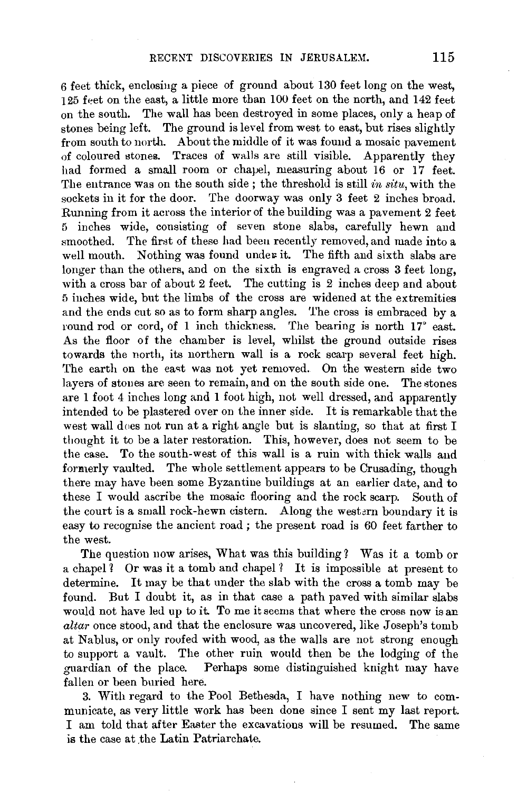6 feet thick, enclosing a piece of ground about 130 feet long on the west, 125 feet on the east, a little more than 100 feet on the north, and 142 feet on the south. The wall has been destroyed in some places, only a heap of stones being left. The ground is level from west to east, but rises slightly from south to north. About the middle of it was found a mosaic pavement of coloured stones. Traces of walls are still visible. Apparently they had formed a small room or chapel, measuring about 16 or 17 feet. The entrance was on the south side ; the threshold is still *in situ,* with the sockets in it for the door. The doorway was only 3 feet 2 inches broad. Running from it across the interior of the building was a pavement 2 feet 5 inches wide, consisting of seven stone slabs, carefully hewn and smoothed. The first of these had been recently removed, and made into a well mouth. Nothing was found under it. The fifth and sixth slabs are longer than the others, and on the sixth is engraved a cross 3 feet long. with a cross bar of about 2 feet. The cutting is 2 inches deep and about 5 inches wide, but the limbs of the cross are widened at the extremities and the ends cut so as to form sharp angles. The cross is embraced by a round rod or cord, of 1 inch thickness. The bearing is north 17° east. As the floor of the chamber is level, whilst the ground outside rises towards the north, its northern wall is a rock scarp several feet high. The earth on the east was not yet removed. On the western side two layers of stones are seen to remain, and on the south side one. The stones are 1 foot 4 inches long and 1 foot high, not well dressed, and apparently intended to be plastered over on the inner side. It is remarkable that the west wall does not run at a right angle but is slanting, so that at first I thought it to be a later restoration. This, however, does not seem to be the case. To the south-west of this wall is a ruin with thick walls and fonnerly vaulted. The whole settlement appears to be Crusading, though there may have been some Byzantine buildings at an earlier date, and to these I would ascribe the mosaic flooring and the rock scarp. South of the court is a small rock-hewn cistern. Along the westarn boundary it is easy to recognise the ancient road ; the present road is 60 feet farther to the west.

The question now arises, What was this building? Was it a tomb or a chapel? Or was it a tomb and chapel? It is impossible at present to determine. It may be that under the slab with the cross a tomb may be found. But I doubt it, as in that ease a path paved with similar slabs would not have led up to it. To me it seems that where the cross now is an *altar* once stood, and that the enclosure was uncovered, like Joseph's tomb at Nablus, or only roofed with wood, as the walls are not strong enough to support a vault. The other ruin would then be the lodging of the guardian of the place. Perhaps some distinguished knight may have fallen or been buried here.

3. With regard to the Pool Bethesda, I have nothing new to communicate, as very little work has been done since I sent my last report. I am told that after Easter the excavations will be resumed. The same is the case at the Latin Patriarchate.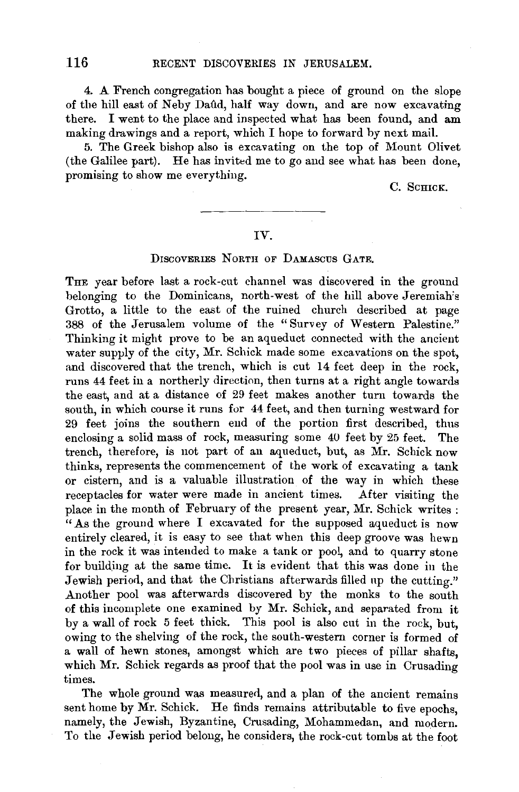4. A French congregation has bought a piece of ground on the slope of the hill east of Neby Daild, half way down, and are now excavating there. I went to the place and inspected what has been found, and am making drawings and a report, which I hope to forward by next mail.

5. The Greek bishop also is excavating on the top of Mount Olivet (the Galilee part). He has invited me to go and see what has been done, promising to show me everything.

C. SCHICK.

### IV.

#### DISCOVERIES NORTH OF DAMASCUS GATE.

THE year before last a rock-cut channel was discovered in the ground belonging to the Dominicans, north-west of the hill above Jeremiah's Grotto, a little to the east of the ruined church described at page 388 of the Jerusalem volume of the "Survey of Western Palestine." Thinking it might prove to be an aqueduct connected with the ancient water supply of the city, Mr. Schick made some excavations on the spot, and discovered that the trench, which is cut 14 feet deep in the rock, runs 44 feet in a northerly direction, then turns at a right angle towards the east, and at a distance of 29 feet makes another turn towards the south, in which course it runs for 44 feet, and then turning westward for 29 feet joins the southern end of the portion first described, thus enclosing a solid mass of rock, measuring some 40 feet by 25 feet. The trench, therefore, is not part of an aqueduct, but, as Mr. Schick now thinks, represents the commencement of the work of excavating a tank or cistern, and is a valuable illustration of the way in which these receptacles for water were made in ancient times. After visiting the place in the month of February of the present year, Mr. Schick writes : "As the ground where I excavated for the supposed aqueduct is now entirely cleared, it is easy to see that when this deep groove was hewn in the rock it was intended to make a tank or pool, and to quarry stone for building at the same time. It is evident that this was done in the Jewish period, and that the Christians afterwards filled up the cutting." Another pool was afterwards discovered by the monks to the south of this incomplete one examined by Mr. Schick, and separated from it by a wall of rock 5 feet thick. This pool is also cut in the rock, but, owing to the shelving of the rock, the south-western corner is formed of a wall of hewn stones, amongst which are two pieces of pillar shafts, which Mr. Schick regards as proof that the pool was in use in Crusading times.

The whole ground was measured, and a plan of the ancient remains sent home by  $\check{M}$ r. Schick. He finds remains attributable to five epochs, namely, the Jewish, Byzantine, Crusading, Mohammedan, and modern. To the Jewish period belong, he considers, the rock-cut tombs at the foot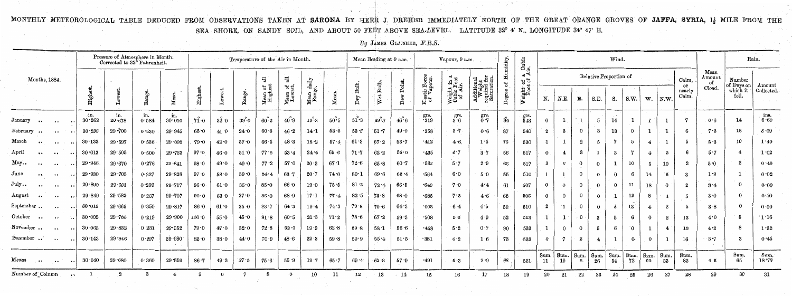MONTHLY METEOROLOGICAL TABLE DEDUCED FROM OBSERVATIONS TAKEN AT SARONA BY HERR J. DREHER IMMEDIATELY NORTH OF THE GREAT ORANGE GROVES OF JAFFA, SYRIA, 1<sup>1</sup> MILE FROM THE SEA SHORE, ON SANDY SOIL, AND ABOUT 50 FEET ABOVE SEA-LEVEL. LATITUDE 32° 4' N., LONGITUDE 34° 47' E.  $\mathcal{L}^{\text{max}}_{\text{max}}$  , where  $\mathcal{L}^{\text{max}}_{\text{max}}$ 

*By* JAMES GLAISHER, *F.R.S.* 

|                                           | Pressure of Atmosphere in Month.<br>Corrected to 32 <sup>6</sup> Fahrenheit. |               |              |               | Temperature of the Air in Month. |      |              |                                            |                                                   |              |                 | Mean Reading at 9 a.m.                |                            |              | Vapour, 9 a.m.              | idity.                               | Cubic<br>ir.                                   | Wind.  |                                           |                  |                        |                  |                  |            |                 |                  | Rain.                   |                       |                                     |                      |                              |
|-------------------------------------------|------------------------------------------------------------------------------|---------------|--------------|---------------|----------------------------------|------|--------------|--------------------------------------------|---------------------------------------------------|--------------|-----------------|---------------------------------------|----------------------------|--------------|-----------------------------|--------------------------------------|------------------------------------------------|--------|-------------------------------------------|------------------|------------------------|------------------|------------------|------------|-----------------|------------------|-------------------------|-----------------------|-------------------------------------|----------------------|------------------------------|
| Months, 1884.                             |                                                                              |               |              |               |                                  |      |              | 긚                                          | $\overline{a}$                                    | daily<br>e.  |                 |                                       |                            |              |                             |                                      |                                                | ზ.     | $\mathbb{R}^d$<br>of<br>cf                |                  | Relative Proportion of |                  |                  |            |                 |                  |                         | Calm,                 | Mean<br>$_{\rm \Delta mount}$<br>of | Number<br>of Days on |                              |
|                                           | High                                                                         |               |              |               | $\rm{High}$                      |      |              | "ಕೆ ಕ<br>$\frac{\text{Mean}}{\text{High}}$ | $\frac{4}{3}$<br>$\frac{\text{Mean}}{\text{Low}}$ | Mean<br>Rang |                 | Bulb,<br>$\mathop{\rm\,Dry}\nolimits$ | Bulb.<br>$\mathbf{e}$<br>⊵ | Point<br>Å   | Elastic Force<br>of Vapour. | Weight in a<br>Cubic Foot<br>of Air. | Additiona<br>Weight<br>required 1<br>Saturatio | ≏      | $\frac{\text{eight}}{\text{Root}}$ o<br>в | N.               | N.E.                   | E.               | S.E.             | 8.         | s.w.            | w.               | $\mathbf{N}.\mathbf{W}$ | or<br>nearly<br>Calm. | Cloud.                              | which it<br>fell.    | Amount<br>Collected          |
| January<br>$\cdot \cdot$<br>$\bullet$     | .in.<br>30.262                                                               | in.<br>29.678 | in.<br>0.584 | in.<br>30.010 | $7\mathbf{1} \cdot \mathbf{0}$   | 32.0 | $39^\circ 0$ | $60^{\degree}2$                            | $40^{\circ}9$                                     | $19^\circ3$  | $50^{\degree}5$ | $51^{\circ}3$                         | $49^\circ$ 0               | $46^\circ 6$ | grs.<br>-319                | $\mathbf{g}^{\text{rs}}$ .<br>$3.6$  | $_{0}^{\mathrm{grs.}}$                         | 84     | grs.<br>543                               | $\Omega$         |                        |                  | 5                | 14         |                 |                  |                         |                       | 6.6                                 | 14                   | ins.<br>6.69                 |
| February<br>$\bullet$ $\bullet$           | 30.230                                                                       | 29.700        | 0.530        | 29.945        | 65.0                             | 41.0 | 24.0         | 60.3                                       | 46.2                                              | 14.1         | 53.3            | 53.6                                  | 51.7                       | 49.9         | $-358$                      | 3.7                                  | 0.6                                            | 87     | 540                                       | $\boldsymbol{2}$ | -3                     |                  | 3                | 13         |                 |                  | $\mathbf{1}$            | -6                    | 7.3                                 | 18                   | 6.09                         |
| March<br>$\ddot{\phantom{0}}$<br>$\cdots$ | 30.133                                                                       | 29.597        | 0.536        | 29.892        | 79 •0                            | 42.0 | 37.0         | 66.5                                       | 48.3                                              | 18.2         | 57.4            | 61.3                                  | 57.2                       | 53.7         | $\cdot$ 412                 | 4.6                                  | 1.5                                            | 76     | 530                                       |                  |                        |                  | 5                |            |                 | 4                |                         |                       | 5.3                                 | $10\,$               | 1.49                         |
| $_{\rm April}$<br>$\ddot{\phantom{0}}$    | 30.013                                                                       | 29.505        | 0.500        | 29.723        | 97.0                             | 46.0 | $51 \cdot 0$ | 77.8                                       | $53 - 4$                                          | 24.4         | 65.6            | 71.7                                  | 62.2                       | 55.0         | $-435$                      | 4.7                                  | 3.7                                            | 56     | 517                                       | $\theta$         |                        | -3               |                  |            |                 | $\overline{4}$   | $\boldsymbol{2}$        |                       | 5.7                                 |                      | 1.02                         |
| May<br>$\bullet$ $\bullet$                | 29.946                                                                       | 29.670        | 0.276        | 29.841        | 98.0                             | 49.0 | 49 ∙0        | 77.2                                       | 57.0                                              | 20.2         | 67.1            | 72.6                                  | 65.8                       | 60.7         | .533                        | 5.7                                  | 2.9                                            | 66     | 517                                       | 3                |                        |                  | $\theta$         |            | 10              | 5                | 10                      |                       | 5.0                                 |                      | 0.49                         |
| June<br>$\ddotsc$<br>$\cdot$              | 29.930                                                                       | 29.703        | 0.227        | 29.828        | 97.0                             | 58.0 | 39.0         | 84.4                                       | 63.7                                              | 20.7         | 74.0            | 80.1                                  | 69.6                       | $62 - 4$     | $\cdot 564$                 | 6.0                                  | 5.0                                            | 55     | 510                                       |                  |                        |                  | $\bf{0}$         | $\Omega$   |                 | 14               | ั 5                     |                       | 1.9                                 |                      | 0.02                         |
| July.<br>$\ddot{\phantom{0}}$             | 29.899                                                                       | 29.600        | 0.299        | 29.717        | 96.0                             | 61.0 | 35.0         | 85.0                                       | 66.0                                              | 19.0         | $75 - 5$        | 81.2                                  | 72.4                       | 66.5         | $-649$                      | 7.0                                  | 4.4                                            | 61     | 507                                       | $\bf{0}$         |                        |                  | $\bf{0}$         | $\Omega$   | 11              | 18               |                         |                       | $3 \cdot 4$                         | $\Omega$             | 0.00                         |
| August<br>$\bullet$ $\bullet$             | 29.849                                                                       | 29.582        | 0.267        | 29.707        | 90.0                             | 63.0 | 27.0         | 86.0                                       | 68.9                                              | $17 - 1$     | 77.4            | 82.5                                  | 73.8                       | 68.0         | .685                        | 7.3                                  | 4.6                                            | 62     | 505                                       | $\Omega$         |                        |                  | $\bf{0}$         |            | 13              | 8                |                         |                       | 3.0                                 |                      | 0.00                         |
| September<br>$\cdot$                      | 30.015                                                                       | 29.665        | 0.350        | 29.817        | 86.0                             | 61.0 | 25·0         | 83.7                                       | 64.3                                              | 19:4         | 74.3            | 79.8                                  | 70.6                       | 64.3         | .603                        | 6.4                                  | 4.5                                            | 59     | 510                                       | $\bf{2}$         |                        |                  | $\bf{0}$         |            | 13 <sup>°</sup> | $\boldsymbol{4}$ | $\boldsymbol{2}$        |                       | 3.8                                 |                      | 0.00                         |
| October<br>$\ddot{\phantom{0}}$           | 30.002                                                                       | 29.783        | 0.219        | 29.900        | 100.0                            | 55.0 | 45.0         | 81.8                                       | 60.5                                              | 21.3         | 71.2            | 78.6                                  | 67.2                       | 59.3         | .508                        | 5.5                                  | 4.9                                            | $52\,$ | 513                                       |                  | $\mathbf{I}$           |                  | 3                |            |                 | $\theta$         | $\boldsymbol{2}$        |                       | 4.0                                 |                      | $^{\prime}$ 1 $^{\prime}$ 16 |
| November<br>$\bullet\bullet\cdot$         | 30.063                                                                       | 29.832        | 0231         | 29.952        | 79.0                             | 47.0 | 32.0         | 72.8                                       | 52.9                                              | 19.9         | 62.8            | 59.8                                  | 58 <sub>1</sub>            | 56.6         | $-458$                      | $5 \cdot 2$                          | 0.7                                            | 90     | 533                                       |                  | $\Omega$               |                  | 5                |            |                 |                  | 4                       | 13                    | 4.2                                 |                      | 1.32                         |
| December<br>$\ddot{\phantom{0}}$          | 30.143                                                                       | 29.846        | 0.297        | 29.980        | 82.0                             | 38.0 | 44.0         | 70.9                                       | 48.6                                              | 22.3         | 59.8            | 59.9                                  | 55.4                       | 51.5         | .381                        | 4.2                                  | 1.6                                            | 73     | 533                                       | $\bf{0}$         |                        | $\boldsymbol{2}$ | $\boldsymbol{4}$ |            |                 | $\bf{0}$         |                         | 16                    | 3.7                                 |                      | 0.45                         |
| Means<br>$\ddotsc$<br>$\cdots$            | 30.040                                                                       | 29.680        | 0.360        | 29.859        | 86.7                             | 49.3 | 37.3         | 75.6                                       | 55.9                                              | 19.7         | 65.7            | 69.4                                  | 62.8                       | 57.9         | $-491$                      | 5.3                                  | 2.9                                            | 68     | 521                                       | Sum.<br>11       | Sum.<br>19             | Sum.             | Sum.<br>26       | Sum.<br>54 | Sum.<br>72      | Sum.<br>60       | Sum.<br>33              | Sum.<br>83            | 4.5                                 | Sum.<br>65           | Sum.<br>18.73                |
| Number of Column                          |                                                                              |               |              |               |                                  |      |              |                                            | $\Omega$                                          | $10\,$       | 11              | 12                                    | 13                         | $-14$        | 15                          | 16                                   | $17 \,$                                        | 18     | 19                                        | 2()              | 21                     |                  | 23               |            |                 |                  | $^{27}$                 | 28                    | 29                                  | 30                   | 31                           |